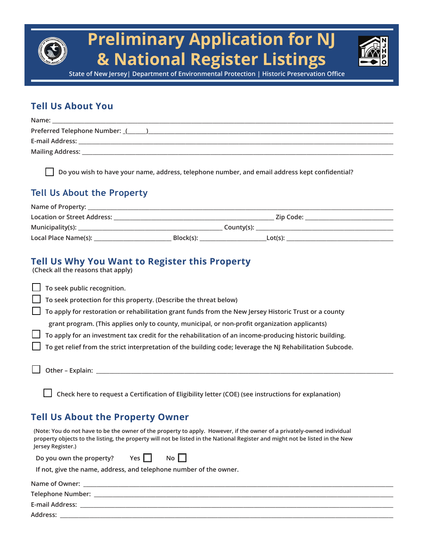

**State of New Jersey| Department of Environmental Protection | Historic Preservation Office**

## **Tell Us About You**

| Name:                         |
|-------------------------------|
| Preferred Telephone Number: ( |
| E-mail Address:               |
| <b>Mailing Address:</b>       |

 **Do you wish to have your name, address, telephone number, and email address kept confidential?**

#### **Tell Us About the Property**

| Name of Property:                  |           |            |  |
|------------------------------------|-----------|------------|--|
| <b>Location or Street Address:</b> |           | Zip Code:  |  |
| Municipality $(s)$ :               |           | County(s): |  |
| Local Place Name(s):               | Block(s): | $Lot(s)$ : |  |

## **Tell Us Why You Want to Register this Property**

 **(Check all the reasons that apply)**

| $\Box$ To seek public recognition.                                                                            |
|---------------------------------------------------------------------------------------------------------------|
| $\Box$ To seek protection for this property. (Describe the threat below)                                      |
| $\Box$ To apply for restoration or rehabilitation grant funds from the New Jersey Historic Trust or a county  |
| grant program. (This applies only to county, municipal, or non-profit organization applicants)                |
| $\Box$ To apply for an investment tax credit for the rehabilitation of an income-producing historic building. |
| To get relief from the strict interpretation of the building code; leverage the NJ Rehabilitation Subcode.    |
| $\Box$ Other – Explain:                                                                                       |

 **Check here to request a Certification of Eligibility letter (COE) (see instructions for explanation)**

#### **Tell Us About the Property Owner**

 **(Note: You do not have to be the owner of the property to apply. However, if the owner of a privately-owned individual property objects to the listing, the property will not be listed in the National Register and might not be listed in the New Jersey Register.)**

| Do you own the property? | Yes $\Box$ | No $\square$ |
|--------------------------|------------|--------------|
|--------------------------|------------|--------------|

 **If not, give the name, address, and telephone number of the owner.** 

| Name of Owner:         |  |
|------------------------|--|
| Telephone Number:      |  |
| <b>E-mail Address:</b> |  |
| Address:               |  |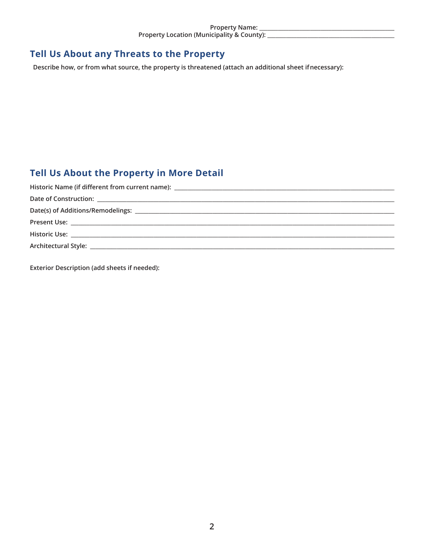## Tell Us About any Threats to the Property

Describe how, or from what source, the property is threatened (attach an additional sheet if necessary):

# Tell Us About the Property in More Detail

Exterior Description (add sheets if needed):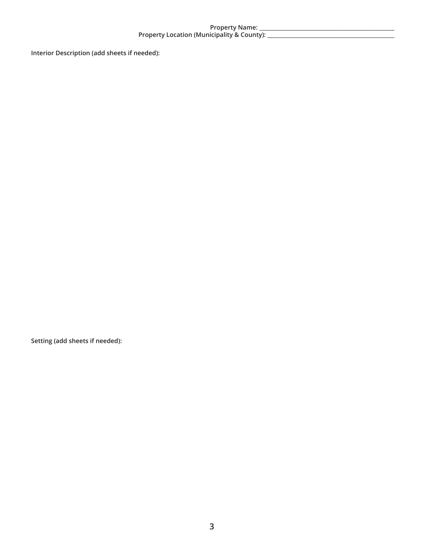# 

Interior Description (add sheets if needed):

Setting (add sheets if needed):